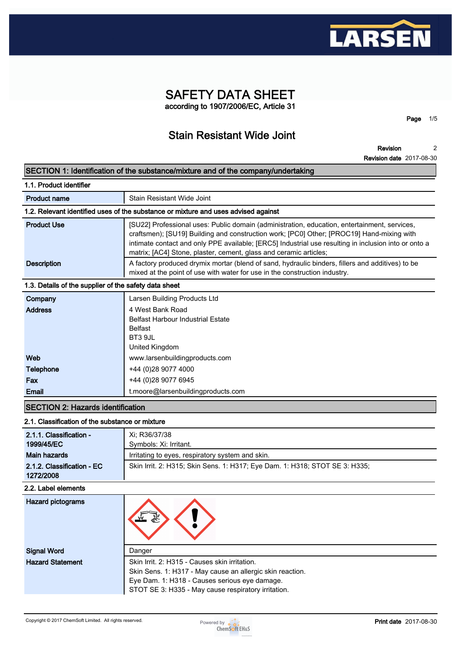

# **SAFETY DATA SHEET according to 1907/2006/EC, Article 31**

**Stain Resistant Wide Joint**

**Revision 2**

**Page 1/5**

|                                                       | SECTION 1: Identification of the substance/mixture and of the company/undertaking                                                                                                                                                                                                                                                                                      |  |  |  |
|-------------------------------------------------------|------------------------------------------------------------------------------------------------------------------------------------------------------------------------------------------------------------------------------------------------------------------------------------------------------------------------------------------------------------------------|--|--|--|
| 1.1. Product identifier                               |                                                                                                                                                                                                                                                                                                                                                                        |  |  |  |
| <b>Product name</b>                                   | Stain Resistant Wide Joint                                                                                                                                                                                                                                                                                                                                             |  |  |  |
|                                                       | 1.2. Relevant identified uses of the substance or mixture and uses advised against                                                                                                                                                                                                                                                                                     |  |  |  |
| <b>Product Use</b>                                    | [SU22] Professional uses: Public domain (administration, education, entertainment, services,<br>craftsmen); [SU19] Building and construction work; [PC0] Other; [PROC19] Hand-mixing with<br>intimate contact and only PPE available; [ERC5] Industrial use resulting in inclusion into or onto a<br>matrix; [AC4] Stone, plaster, cement, glass and ceramic articles; |  |  |  |
| <b>Description</b>                                    | A factory produced drymix mortar (blend of sand, hydraulic binders, fillers and additives) to be<br>mixed at the point of use with water for use in the construction industry.                                                                                                                                                                                         |  |  |  |
| 1.3. Details of the supplier of the safety data sheet |                                                                                                                                                                                                                                                                                                                                                                        |  |  |  |
| Company                                               | Larsen Building Products Ltd                                                                                                                                                                                                                                                                                                                                           |  |  |  |
| <b>Address</b>                                        | 4 West Bank Road<br><b>Belfast Harbour Industrial Estate</b><br><b>Belfast</b><br>BT3 9JL<br><b>United Kingdom</b>                                                                                                                                                                                                                                                     |  |  |  |
| Web                                                   | www.larsenbuildingproducts.com                                                                                                                                                                                                                                                                                                                                         |  |  |  |
| <b>Telephone</b>                                      | +44 (0)28 9077 4000                                                                                                                                                                                                                                                                                                                                                    |  |  |  |
| Fax                                                   | +44 (0)28 9077 6945                                                                                                                                                                                                                                                                                                                                                    |  |  |  |
| Email                                                 | t.moore@larsenbuildingproducts.com                                                                                                                                                                                                                                                                                                                                     |  |  |  |
| <b>SECTION 2: Hazards identification</b>              |                                                                                                                                                                                                                                                                                                                                                                        |  |  |  |
| 2.1. Classification of the substance or mixture       |                                                                                                                                                                                                                                                                                                                                                                        |  |  |  |
| 2.1.1. Classification -                               | Xi; R36/37/38                                                                                                                                                                                                                                                                                                                                                          |  |  |  |
| 1999/45/EC                                            | Symbols: Xi: Irritant.                                                                                                                                                                                                                                                                                                                                                 |  |  |  |
| <b>Main hazards</b>                                   | Irritating to eyes, respiratory system and skin.                                                                                                                                                                                                                                                                                                                       |  |  |  |
| 2.1.2. Classification - EC<br>1272/2008               | Skin Irrit. 2: H315; Skin Sens. 1: H317; Eye Dam. 1: H318; STOT SE 3: H335;                                                                                                                                                                                                                                                                                            |  |  |  |
| 2.2. Label elements                                   |                                                                                                                                                                                                                                                                                                                                                                        |  |  |  |
| <b>Hazard pictograms</b>                              | €                                                                                                                                                                                                                                                                                                                                                                      |  |  |  |
| <b>Signal Word</b>                                    | Danger                                                                                                                                                                                                                                                                                                                                                                 |  |  |  |
| <b>Hazard Statement</b>                               | Skin Irrit. 2: H315 - Causes skin irritation.<br>Skin Sens. 1: H317 - May cause an allergic skin reaction.                                                                                                                                                                                                                                                             |  |  |  |

**Eye Dam. 1: H318 - Causes serious eye damage. STOT SE 3: H335 - May cause respiratory irritation.**

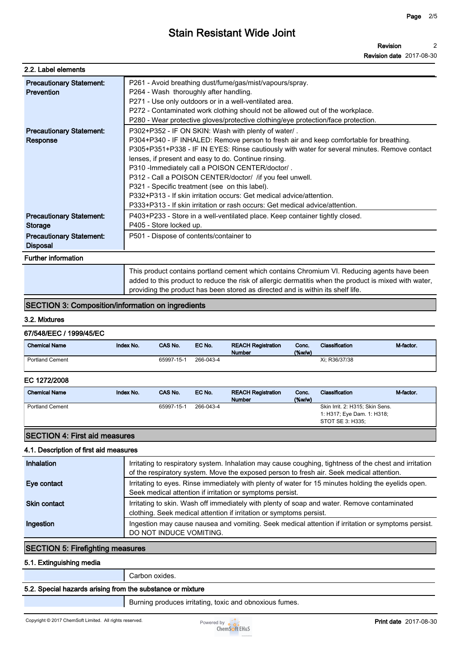| 2.2. Label elements                                                                                     |                                                                                                                                                                                                                                                                                                                                                                                                                                                                                                                                                                                                                                 |
|---------------------------------------------------------------------------------------------------------|---------------------------------------------------------------------------------------------------------------------------------------------------------------------------------------------------------------------------------------------------------------------------------------------------------------------------------------------------------------------------------------------------------------------------------------------------------------------------------------------------------------------------------------------------------------------------------------------------------------------------------|
| <b>Precautionary Statement:</b><br><b>Prevention</b>                                                    | P261 - Avoid breathing dust/fume/gas/mist/vapours/spray.<br>P264 - Wash thoroughly after handling.<br>P271 - Use only outdoors or in a well-ventilated area.<br>P272 - Contaminated work clothing should not be allowed out of the workplace.<br>P280 - Wear protective gloves/protective clothing/eye protection/face protection.                                                                                                                                                                                                                                                                                              |
| <b>Precautionary Statement:</b><br>Response                                                             | P302+P352 - IF ON SKIN: Wash with plenty of water/.<br>P304+P340 - IF INHALED: Remove person to fresh air and keep comfortable for breathing.<br>P305+P351+P338 - IF IN EYES: Rinse cautiously with water for several minutes. Remove contact<br>lenses, if present and easy to do. Continue rinsing.<br>P310 - Immediately call a POISON CENTER/doctor/.<br>P312 - Call a POISON CENTER/doctor/ /if you feel unwell.<br>P321 - Specific treatment (see on this label).<br>P332+P313 - If skin irritation occurs: Get medical advice/attention.<br>P333+P313 - If skin irritation or rash occurs: Get medical advice/attention. |
| <b>Precautionary Statement:</b><br><b>Storage</b><br><b>Precautionary Statement:</b><br><b>Disposal</b> | P403+P233 - Store in a well-ventilated place. Keep container tightly closed.<br>P405 - Store locked up.<br>P501 - Dispose of contents/container to                                                                                                                                                                                                                                                                                                                                                                                                                                                                              |
| <b>Further information</b>                                                                              |                                                                                                                                                                                                                                                                                                                                                                                                                                                                                                                                                                                                                                 |
|                                                                                                         | This product contains portland cement which contains Chromium VI. Reducing agents have been                                                                                                                                                                                                                                                                                                                                                                                                                                                                                                                                     |

**added to this product to reduce the risk of allergic dermatitis when the product is mixed with water, providing the product has been stored as directed and is within its shelf life.**

# **SECTION 3: Composition/information on ingredients**

#### **3.2. Mixtures**

#### **67/548/EEC / 1999/45/EC**

| <b>Chemical Name</b>   | <b>Index No.</b> | <b>CAS No.</b> | EC No.    | <b>REACH Registration</b><br><b>Number</b> | Conc.<br>$($ %w/w $)$ | <b>Classification</b> | M-factor. |
|------------------------|------------------|----------------|-----------|--------------------------------------------|-----------------------|-----------------------|-----------|
| <b>Portland Cement</b> |                  | 65997-15-1     | 266-043-4 |                                            |                       | Xi: R36/37/38         |           |

#### **EC 1272/2008**

| <b>Chemical Name</b>   | Index No. | CAS No.    | EC No.    | <b>REACH Registration</b><br><b>Number</b> | Conc.<br>$(\%w/w)$ | Classification                                                                    | M-factor. |
|------------------------|-----------|------------|-----------|--------------------------------------------|--------------------|-----------------------------------------------------------------------------------|-----------|
| <b>Portland Cement</b> |           | 65997-15-1 | 266-043-4 |                                            |                    | Skin Irrit. 2: H315; Skin Sens.<br>1: H317; Eye Dam. 1: H318;<br>STOT SE 3: H335; |           |

## **SECTION 4: First aid measures**

#### **4.1. Description of first aid measures**

| Inhalation          | Irritating to respiratory system. Inhalation may cause coughing, tightness of the chest and irritation<br>of the respiratory system. Move the exposed person to fresh air. Seek medical attention. |
|---------------------|----------------------------------------------------------------------------------------------------------------------------------------------------------------------------------------------------|
| Eye contact         | Irritating to eyes. Rinse immediately with plenty of water for 15 minutes holding the eyelids open.<br>Seek medical attention if irritation or symptoms persist.                                   |
| <b>Skin contact</b> | Irritating to skin. Wash off immediately with plenty of soap and water. Remove contaminated<br>clothing. Seek medical attention if irritation or symptoms persist.                                 |
| Ingestion           | Ingestion may cause nausea and vomiting. Seek medical attention if irritation or symptoms persist.<br>DO NOT INDUCE VOMITING.                                                                      |

# **SECTION 5: Firefighting measures**

#### **5.1. Extinguishing media**

**Carbon oxides.**

## **5.2. Special hazards arising from the substance or mixture**

**Burning produces irritating, toxic and obnoxious fumes.**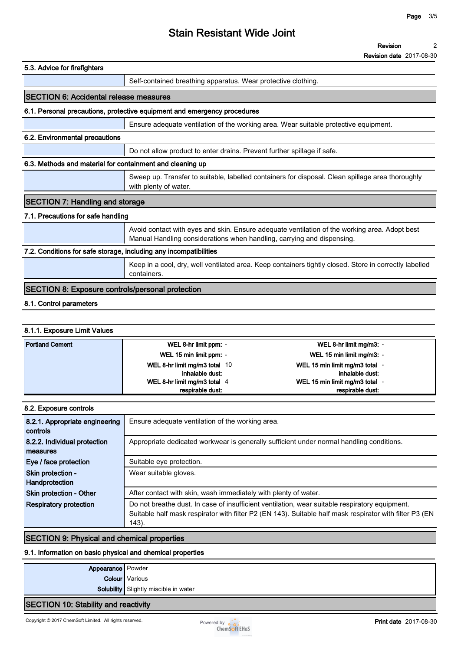| 5.3. Advice for firefighters                                      |                                                                                                                                                                         |  |  |  |
|-------------------------------------------------------------------|-------------------------------------------------------------------------------------------------------------------------------------------------------------------------|--|--|--|
|                                                                   | Self-contained breathing apparatus. Wear protective clothing.                                                                                                           |  |  |  |
| <b>ISECTION 6: Accidental release measures</b>                    |                                                                                                                                                                         |  |  |  |
|                                                                   | 6.1. Personal precautions, protective equipment and emergency procedures                                                                                                |  |  |  |
|                                                                   | Ensure adequate ventilation of the working area. Wear suitable protective equipment.                                                                                    |  |  |  |
| 6.2. Environmental precautions                                    |                                                                                                                                                                         |  |  |  |
|                                                                   | Do not allow product to enter drains. Prevent further spillage if safe.                                                                                                 |  |  |  |
| 6.3. Methods and material for containment and cleaning up         |                                                                                                                                                                         |  |  |  |
|                                                                   | Sweep up. Transfer to suitable, labelled containers for disposal. Clean spillage area thoroughly<br>with plenty of water.                                               |  |  |  |
| <b>SECTION 7: Handling and storage</b>                            |                                                                                                                                                                         |  |  |  |
| 7.1. Precautions for safe handling                                |                                                                                                                                                                         |  |  |  |
|                                                                   | Avoid contact with eyes and skin. Ensure adequate ventilation of the working area. Adopt best<br>Manual Handling considerations when handling, carrying and dispensing. |  |  |  |
| 7.2. Conditions for safe storage, including any incompatibilities |                                                                                                                                                                         |  |  |  |
|                                                                   | Keep in a cool, dry, well ventilated area. Keep containers tightly closed. Store in correctly labelled<br>containers.                                                   |  |  |  |
| <b>SECTION 8: Exposure controls/personal protection</b>           |                                                                                                                                                                         |  |  |  |
| $\mathbf{A}$ and $\mathbf{A}$ are the state of $\mathbf{A}$       |                                                                                                                                                                         |  |  |  |

## **8.1. Control parameters**

#### **8.1.1. Exposure Limit Values**

| <b>Portland Cement</b> | WEL 8-hr limit ppm: -                            | WEL 8-hr limit mg/m3: -                           |
|------------------------|--------------------------------------------------|---------------------------------------------------|
|                        | WEL 15 min limit ppm: -                          | WEL 15 min limit mg/m3: -                         |
|                        | WEL 8-hr limit mg/m3 total 10<br>inhalable dust: | WEL 15 min limit mg/m3 total -<br>inhalable dust: |
|                        | WEL 8-hr limit mg/m3 total 4                     | WEL 15 min limit mg/m3 total -                    |
|                        | respirable dust:                                 | respirable dust:                                  |

| 8.2. Exposure controls                     |                                                                                                                                                                                                                    |
|--------------------------------------------|--------------------------------------------------------------------------------------------------------------------------------------------------------------------------------------------------------------------|
| 8.2.1. Appropriate engineering<br>controls | Ensure adequate ventilation of the working area.                                                                                                                                                                   |
| 8.2.2. Individual protection<br>measures   | Appropriate dedicated workwear is generally sufficient under normal handling conditions.                                                                                                                           |
| Eye / face protection                      | Suitable eye protection.                                                                                                                                                                                           |
| Skin protection -<br>Handprotection        | Wear suitable gloves.                                                                                                                                                                                              |
| Skin protection - Other                    | After contact with skin, wash immediately with plenty of water.                                                                                                                                                    |
| <b>Respiratory protection</b>              | Do not breathe dust. In case of insufficient ventilation, wear suitable respiratory equipment.<br>Suitable half mask respirator with filter P2 (EN 143). Suitable half mask respirator with filter P3 (EN<br>143). |

## **SECTION 9: Physical and chemical properties**

#### **9.1. Information on basic physical and chemical properties**

| <b>Appearance</b> Powder             |                                       |  |
|--------------------------------------|---------------------------------------|--|
|                                      | <b>Colour</b> Various                 |  |
|                                      | Solubility Slightly miscible in water |  |
| SECTION 10: Stability and reactivity |                                       |  |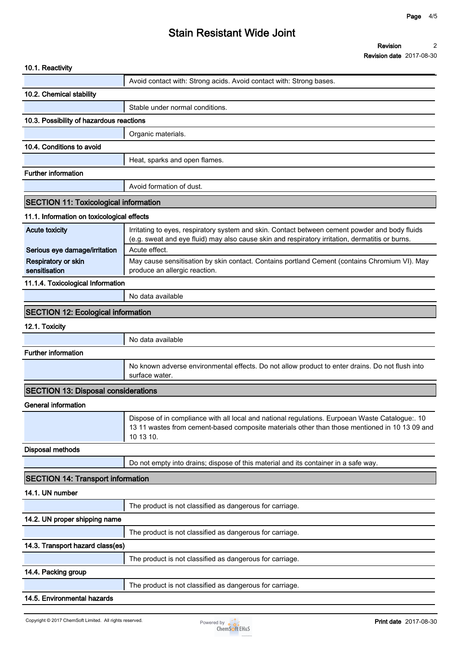| 10.1. Reactivity                                       |                                                                                                                                                                                                                    |
|--------------------------------------------------------|--------------------------------------------------------------------------------------------------------------------------------------------------------------------------------------------------------------------|
|                                                        | Avoid contact with: Strong acids. Avoid contact with: Strong bases.                                                                                                                                                |
| 10.2. Chemical stability                               |                                                                                                                                                                                                                    |
|                                                        | Stable under normal conditions.                                                                                                                                                                                    |
| 10.3. Possibility of hazardous reactions               |                                                                                                                                                                                                                    |
|                                                        | Organic materials.                                                                                                                                                                                                 |
| 10.4. Conditions to avoid                              |                                                                                                                                                                                                                    |
|                                                        | Heat, sparks and open flames.                                                                                                                                                                                      |
| <b>Further information</b>                             |                                                                                                                                                                                                                    |
|                                                        | Avoid formation of dust.                                                                                                                                                                                           |
| <b>SECTION 11: Toxicological information</b>           |                                                                                                                                                                                                                    |
| 11.1. Information on toxicological effects             |                                                                                                                                                                                                                    |
| <b>Acute toxicity</b><br>Serious eye damage/irritation | Irritating to eyes, respiratory system and skin. Contact between cement powder and body fluids<br>(e.g. sweat and eye fluid) may also cause skin and respiratory irritation, dermatitis or burns.<br>Acute effect. |
| Respiratory or skin<br>sensitisation                   | May cause sensitisation by skin contact. Contains portland Cement (contains Chromium VI). May<br>produce an allergic reaction.                                                                                     |
| 11.1.4. Toxicological Information                      |                                                                                                                                                                                                                    |
|                                                        | No data available                                                                                                                                                                                                  |
| <b>SECTION 12: Ecological information</b>              |                                                                                                                                                                                                                    |
| 12.1. Toxicity                                         |                                                                                                                                                                                                                    |
|                                                        | No data available                                                                                                                                                                                                  |
| <b>Further information</b>                             |                                                                                                                                                                                                                    |
|                                                        | No known adverse environmental effects. Do not allow product to enter drains. Do not flush into<br>surface water.                                                                                                  |
| <b>SECTION 13: Disposal considerations</b>             |                                                                                                                                                                                                                    |
| <b>General information</b>                             |                                                                                                                                                                                                                    |
|                                                        | Dispose of in compliance with all local and national regulations. Eurpoean Waste Catalogue:. 10<br>13 11 wastes from cement-based composite materials other than those mentioned in 10 13 09 and<br>10 13 10.      |
| <b>Disposal methods</b>                                |                                                                                                                                                                                                                    |
|                                                        | Do not empty into drains; dispose of this material and its container in a safe way.                                                                                                                                |
| <b>SECTION 14: Transport information</b>               |                                                                                                                                                                                                                    |
| 14.1. UN number                                        |                                                                                                                                                                                                                    |
|                                                        | The product is not classified as dangerous for carriage.                                                                                                                                                           |
| 14.2. UN proper shipping name                          |                                                                                                                                                                                                                    |
|                                                        | The product is not classified as dangerous for carriage.                                                                                                                                                           |
| 14.3. Transport hazard class(es)                       |                                                                                                                                                                                                                    |
|                                                        | The product is not classified as dangerous for carriage.                                                                                                                                                           |
| 14.4. Packing group                                    |                                                                                                                                                                                                                    |
|                                                        | The product is not classified as dangerous for carriage.                                                                                                                                                           |
| 14.5. Environmental hazards                            |                                                                                                                                                                                                                    |